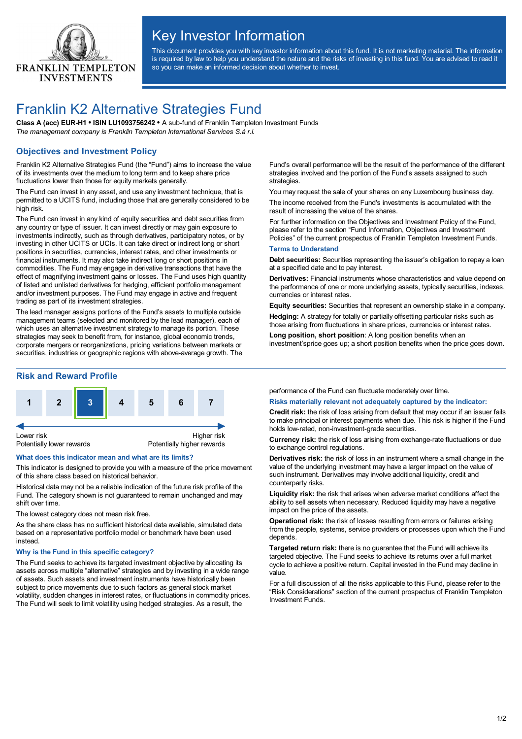

# Key Investor Information

This document provides you with key investor information about this fund. It is not marketing material. The information is required by law to help you understand the nature and the risks of investing in this fund. You are advised to read it so you can make an informed decision about whether to invest.

## Franklin K2 Alternative Strategies Fund

**Class A (acc) EUR-H1 • ISIN LU1093756242 •** A sub-fund of Franklin Templeton Investment Funds *The management company is Franklin Templeton International Services S.à r.l.*

## **Objectives and Investment Policy**

Franklin K2 Alternative Strategies Fund (the "Fund") aims to increase the value of its investments over the medium to long term and to keep share price fluctuations lower than those for equity markets generally.

The Fund can invest in any asset, and use any investment technique, that is permitted to a UCITS fund, including those that are generally considered to be high risk.

The Fund can invest in any kind of equity securities and debt securities from any country or type of issuer. It can invest directly or may gain exposure to investments indirectly, such as through derivatives, participatory notes, or by investing in other UCITS or UCIs. It can take direct or indirect long or short positions in securities, currencies, interest rates, and other investments or financial instruments. It may also take indirect long or short positions in commodities. The Fund may engage in derivative transactions that have the effect of magnifying investment gains or losses. The Fund uses high quantity of listed and unlisted derivatives for hedging, efficient portfolio management and/or investment purposes. The Fund may engage in active and frequent trading as part of its investment strategies.

The lead manager assigns portions of the Fund's assets to multiple outside management teams (selected and monitored by the lead manager), each of which uses an alternative investment strategy to manage its portion. These strategies may seek to benefit from, for instance, global economic trends, corporate mergers or reorganizations, pricing variations between markets or securities, industries or geographic regions with above-average growth. The

## **Risk and Reward Profile**



#### **What does this indicator mean and what are its limits?**

This indicator is designed to provide you with a measure of the price movement of this share class based on historical behavior.

Historical data may not be a reliable indication of the future risk profile of the Fund. The category shown is not guaranteed to remain unchanged and may shift over time.

The lowest category does not mean risk free.

As the share class has no sufficient historical data available, simulated data based on a representative portfolio model or benchmark have been used instead.

#### **Why is the Fund in this specific category?**

The Fund seeks to achieve its targeted investment objective by allocating its assets across multiple "alternative" strategies and by investing in a wide range of assets. Such assets and investment instruments have historically been subject to price movements due to such factors as general stock market volatility, sudden changes in interest rates, or fluctuations in commodity prices. The Fund will seek to limit volatility using hedged strategies. As a result, the

Fund's overall performance will be the result of the performance of the different strategies involved and the portion of the Fund's assets assigned to such strategies.

You may request the sale of your shares on any Luxembourg business day. The income received from the Fund's investments is accumulated with the result of increasing the value of the shares.

For further information on the Objectives and Investment Policy of the Fund, please refer to the section "Fund Information, Objectives and Investment Policies" of the current prospectus of Franklin Templeton Investment Funds.

#### **Terms to Understand**

**Debt securities:** Securities representing the issuer's obligation to repay a loan at a specified date and to pay interest.

**Derivatives:** Financial instruments whose characteristics and value depend on the performance of one or more underlying assets, typically securities, indexes, currencies or interest rates.

**Equity securities:** Securities that represent an ownership stake in a company. **Hedging:** A strategy for totally or partially offsetting particular risks such as

those arising from fluctuations in share prices, currencies or interest rates.

**Long position, short position**: A long position benefits when an investment'sprice goes up; a short position benefits when the price goes down.

performance of the Fund can fluctuate moderately over time.

#### **Risks materially relevant not adequately captured by the indicator:**

**Credit risk:** the risk of loss arising from default that may occur if an issuer fails to make principal or interest payments when due. This risk is higher if the Fund holds low-rated, non-investment-grade securities.

**Currency risk:** the risk of loss arising from exchange-rate fluctuations or due to exchange control regulations.

**Derivatives risk:** the risk of loss in an instrument where a small change in the value of the underlying investment may have a larger impact on the value of such instrument. Derivatives may involve additional liquidity, credit and counterparty risks.

**Liquidity risk:** the risk that arises when adverse market conditions affect the ability to sell assets when necessary. Reduced liquidity may have a negative impact on the price of the assets.

**Operational risk:** the risk of losses resulting from errors or failures arising from the people, systems, service providers or processes upon which the Fund depends.

**Targeted return risk:** there is no guarantee that the Fund will achieve its targeted objective. The Fund seeks to achieve its returns over a full market cycle to achieve a positive return. Capital invested in the Fund may decline in value.

For a full discussion of all the risks applicable to this Fund, please refer to the "Risk Considerations" section of the current prospectus of Franklin Templeton Investment Funds.